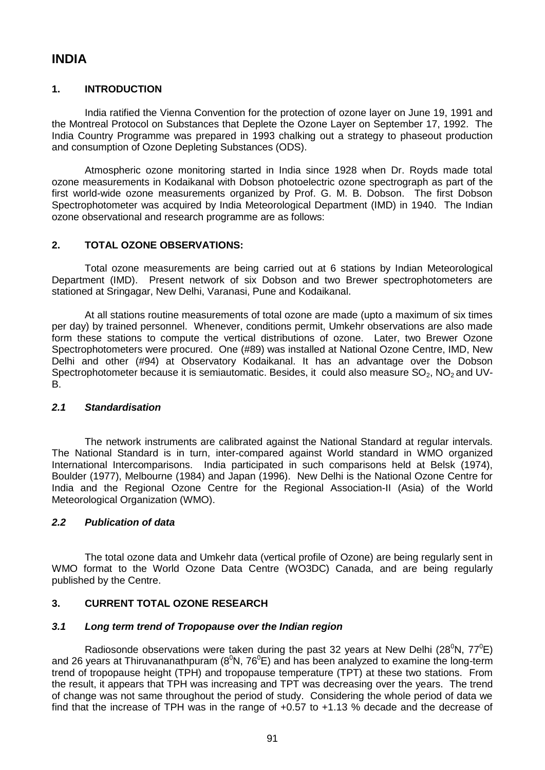# **INDIA**

## **1. INTRODUCTION**

India ratified the Vienna Convention for the protection of ozone layer on June 19, 1991 and the Montreal Protocol on Substances that Deplete the Ozone Layer on September 17, 1992. The India Country Programme was prepared in 1993 chalking out a strategy to phaseout production and consumption of Ozone Depleting Substances (ODS).

Atmospheric ozone monitoring started in India since 1928 when Dr. Royds made total ozone measurements in Kodaikanal with Dobson photoelectric ozone spectrograph as part of the first world-wide ozone measurements organized by Prof. G. M. B. Dobson. The first Dobson Spectrophotometer was acquired by India Meteorological Department (IMD) in 1940. The Indian ozone observational and research programme are as follows:

## **2. TOTAL OZONE OBSERVATIONS:**

Total ozone measurements are being carried out at 6 stations by Indian Meteorological Department (IMD). Present network of six Dobson and two Brewer spectrophotometers are stationed at Sringagar, New Delhi, Varanasi, Pune and Kodaikanal.

At all stations routine measurements of total ozone are made (upto a maximum of six times per day) by trained personnel. Whenever, conditions permit, Umkehr observations are also made form these stations to compute the vertical distributions of ozone. Later, two Brewer Ozone Spectrophotometers were procured. One (#89) was installed at National Ozone Centre, IMD, New Delhi and other (#94) at Observatory Kodaikanal. It has an advantage over the Dobson Spectrophotometer because it is semiautomatic. Besides, it could also measure  $SO_2$ , NO<sub>2</sub> and UV-B.

## *2.1 Standardisation*

The network instruments are calibrated against the National Standard at regular intervals. The National Standard is in turn, inter-compared against World standard in WMO organized International Intercomparisons. India participated in such comparisons held at Belsk (1974), Boulder (1977), Melbourne (1984) and Japan (1996). New Delhi is the National Ozone Centre for India and the Regional Ozone Centre for the Regional Association-II (Asia) of the World Meteorological Organization (WMO).

## *2.2 Publication of data*

The total ozone data and Umkehr data (vertical profile of Ozone) are being regularly sent in WMO format to the World Ozone Data Centre (WO3DC) Canada, and are being regularly published by the Centre.

# **3. CURRENT TOTAL OZONE RESEARCH**

## *3.1 Long term trend of Tropopause over the Indian region*

Radiosonde observations were taken during the past 32 years at New Delhi (28 $^0$ N, 77 $^0$ E) and 26 years at Thiruvananathpuram ( $8^{\circ}N$ ,  $76^{\circ}E$ ) and has been analyzed to examine the long-term trend of tropopause height (TPH) and tropopause temperature (TPT) at these two stations. From the result, it appears that TPH was increasing and TPT was decreasing over the years. The trend of change was not same throughout the period of study. Considering the whole period of data we find that the increase of TPH was in the range of +0.57 to +1.13 % decade and the decrease of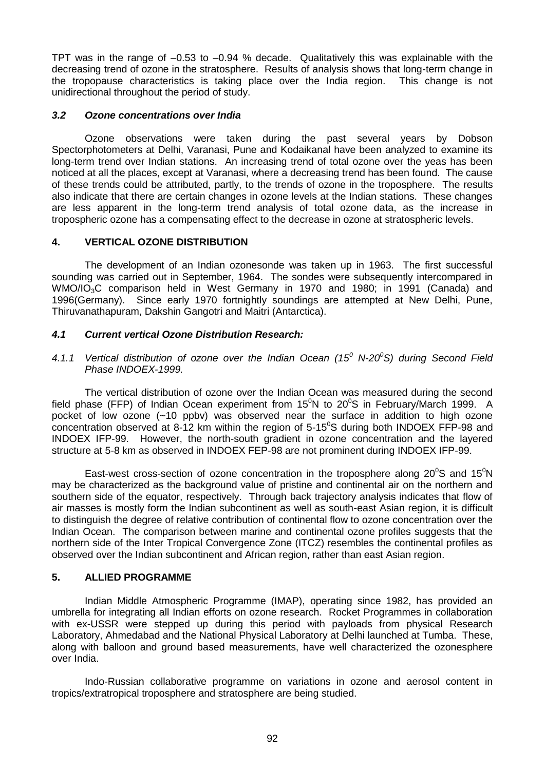TPT was in the range of –0.53 to –0.94 % decade. Qualitatively this was explainable with the decreasing trend of ozone in the stratosphere. Results of analysis shows that long-term change in the tropopause characteristics is taking place over the India region. This change is not unidirectional throughout the period of study.

## *3.2 Ozone concentrations over India*

Ozone observations were taken during the past several years by Dobson Spectorphotometers at Delhi, Varanasi, Pune and Kodaikanal have been analyzed to examine its long-term trend over Indian stations. An increasing trend of total ozone over the yeas has been noticed at all the places, except at Varanasi, where a decreasing trend has been found. The cause of these trends could be attributed, partly, to the trends of ozone in the troposphere. The results also indicate that there are certain changes in ozone levels at the Indian stations. These changes are less apparent in the long-term trend analysis of total ozone data, as the increase in tropospheric ozone has a compensating effect to the decrease in ozone at stratospheric levels.

## **4. VERTICAL OZONE DISTRIBUTION**

The development of an Indian ozonesonde was taken up in 1963. The first successful sounding was carried out in September, 1964. The sondes were subsequently intercompared in WMO/IO3C comparison held in West Germany in 1970 and 1980; in 1991 (Canada) and 1996(Germany). Since early 1970 fortnightly soundings are attempted at New Delhi, Pune, Thiruvanathapuram, Dakshin Gangotri and Maitri (Antarctica).

## *4.1 Current vertical Ozone Distribution Research:*

*4.1.1 Vertical distribution of ozone over the Indian Ocean (15<sup>0</sup> N-20<sup>0</sup>S) during Second Field Phase INDOEX-1999.*

The vertical distribution of ozone over the Indian Ocean was measured during the second field phase (FFP) of Indian Ocean experiment from  $15^{\circ}$ N to  $20^{\circ}$ S in February/March 1999. A pocket of low ozone (~10 ppbv) was observed near the surface in addition to high ozone concentration observed at 8-12 km within the region of  $5-15^{\circ}$ S during both INDOEX FFP-98 and INDOEX IFP-99. However, the north-south gradient in ozone concentration and the layered structure at 5-8 km as observed in INDOEX FEP-98 are not prominent during INDOEX IFP-99.

East-west cross-section of ozone concentration in the troposphere along  $20^{\circ}$ S and  $15^{\circ}$ N may be characterized as the background value of pristine and continental air on the northern and southern side of the equator, respectively. Through back trajectory analysis indicates that flow of air masses is mostly form the Indian subcontinent as well as south-east Asian region, it is difficult to distinguish the degree of relative contribution of continental flow to ozone concentration over the Indian Ocean. The comparison between marine and continental ozone profiles suggests that the northern side of the Inter Tropical Convergence Zone (ITCZ) resembles the continental profiles as observed over the Indian subcontinent and African region, rather than east Asian region.

## **5. ALLIED PROGRAMME**

Indian Middle Atmospheric Programme (IMAP), operating since 1982, has provided an umbrella for integrating all Indian efforts on ozone research. Rocket Programmes in collaboration with ex-USSR were stepped up during this period with payloads from physical Research Laboratory, Ahmedabad and the National Physical Laboratory at Delhi launched at Tumba. These, along with balloon and ground based measurements, have well characterized the ozonesphere over India.

Indo-Russian collaborative programme on variations in ozone and aerosol content in tropics/extratropical troposphere and stratosphere are being studied.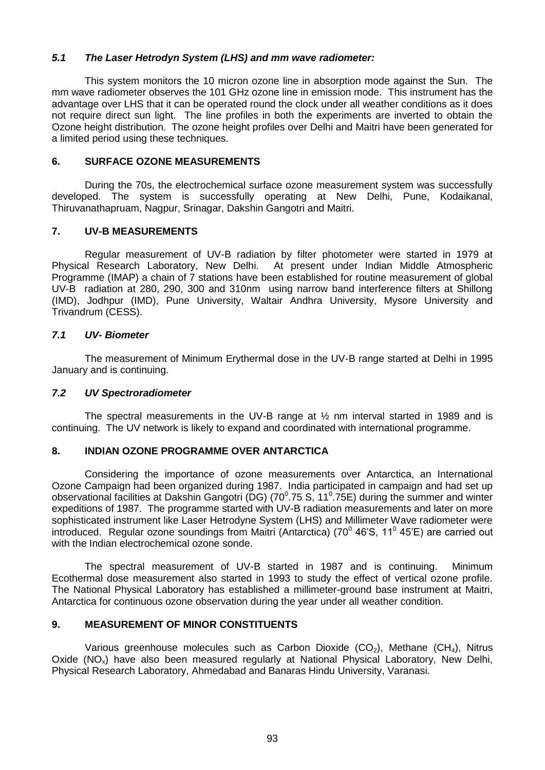## *5.1 The Laser Hetrodyn System (LHS) and mm wave radiometer:*

This system monitors the 10 micron ozone line in absorption mode against the Sun. The mm wave radiometer observes the 101 GHz ozone line in emission mode. This instrument has the advantage over LHS that it can be operated round the clock under all weather conditions as it does not require direct sun light. The line profiles in both the experiments are inverted to obtain the Ozone height distribution. The ozone height profiles over Delhi and Maitri have been generated for a limited period using these techniques.

## **6. SURFACE OZONE MEASUREMENTS**

During the 70s, the electrochemical surface ozone measurement system was successfully developed. The system is successfully operating at New Delhi, Pune, Kodaikanal, Thiruvanathapruam, Nagpur, Srinagar, Dakshin Gangotri and Maitri.

#### **7. UV-B MEASUREMENTS**

Regular measurement of UV-B radiation by filter photometer were started in 1979 at Physical Research Laboratory, New Delhi. At present under Indian Middle Atmospheric Programme (IMAP) a chain of 7 stations have been established for routine measurement of global UV-B radiation at 280, 290, 300 and 310nm using narrow band interference filters at Shillong (IMD), Jodhpur (IMD), Pune University, Waltair Andhra University, Mysore University and Trivandrum (CESS).

#### *7.1 UV- Biometer*

The measurement of Minimum Erythermal dose in the UV-B range started at Delhi in 1995 January and is continuing.

#### *7.2 UV Spectroradiometer*

The spectral measurements in the UV-B range at  $\frac{1}{2}$  nm interval started in 1989 and is continuing. The UV network is likely to expand and coordinated with international programme.

#### **8. INDIAN OZONE PROGRAMME OVER ANTARCTICA**

Considering the importance of ozone measurements over Antarctica, an International Ozone Campaign had been organized during 1987. India participated in campaign and had set up observational facilities at Dakshin Gangotri (DG) (70 $^0$ .75 S, 11 $^0$ .75E) during the summer and winter expeditions of 1987. The programme started with UV-B radiation measurements and later on more sophisticated instrument like Laser Hetrodyne System (LHS) and Millimeter Wave radiometer were introduced. Regular ozone soundings from Maitri (Antarctica) (70 $^{\circ}$  46'S, 11 $^{\circ}$  45'E) are carried out with the Indian electrochemical ozone sonde.

The spectral measurement of UV-B started in 1987 and is continuing. Minimum Ecothermal dose measurement also started in 1993 to study the effect of vertical ozone profile. The National Physical Laboratory has established a millimeter-ground base instrument at Maitri, Antarctica for continuous ozone observation during the year under all weather condition.

#### **9. MEASUREMENT OF MINOR CONSTITUENTS**

Various greenhouse molecules such as Carbon Dioxide (CO<sub>2</sub>), Methane (CH<sub>4</sub>), Nitrus Oxide  $(NO_x)$  have also been measured regularly at National Physical Laboratory, New Delhi, Physical Research Laboratory, Ahmedabad and Banaras Hindu University, Varanasi.